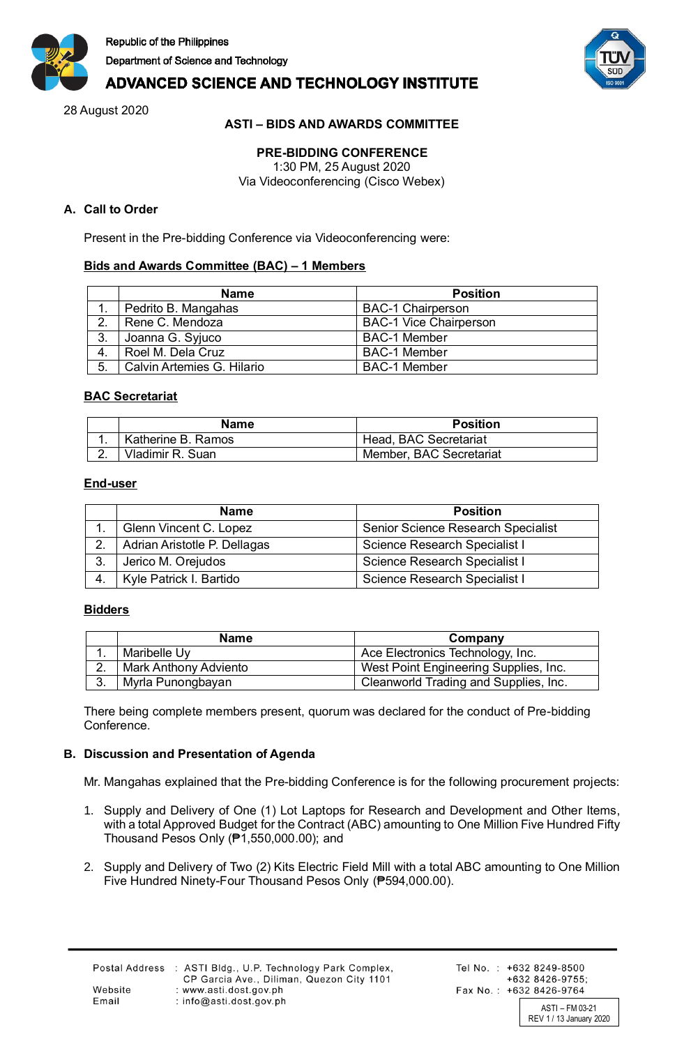



# **ADVANCED SCIENCE AND TECHNOLOGY INSTITUTE**

28 August 2020

# **ASTI – BIDS AND AWARDS COMMITTEE**

# **PRE-BIDDING CONFERENCE**

1:30 PM, 25 August 2020 Via Videoconferencing (Cisco Webex)

# **A. Call to Order**

Present in the Pre-bidding Conference via Videoconferencing were:

# **Bids and Awards Committee (BAC) – 1 Members**

|                   | Name                       | <b>Position</b>               |
|-------------------|----------------------------|-------------------------------|
|                   | Pedrito B. Mangahas        | <b>BAC-1 Chairperson</b>      |
| $\mathcal{D}$     | Rene C. Mendoza            | <b>BAC-1 Vice Chairperson</b> |
| 3.                | Joanna G. Syjuco           | <b>BAC-1 Member</b>           |
| Roel M. Dela Cruz |                            | <b>BAC-1 Member</b>           |
| 5.                | Calvin Artemies G. Hilario | <b>BAC-1 Member</b>           |

### **BAC Secretariat**

| <b>Name</b> |                    | <b>Position</b>         |  |
|-------------|--------------------|-------------------------|--|
| . .         | Katherine B. Ramos | Head, BAC Secretariat   |  |
|             | Vladimir R. Suan   | Member, BAC Secretariat |  |

### **End-user**

|    | <b>Position</b><br><b>Name</b>                      |                                    |  |
|----|-----------------------------------------------------|------------------------------------|--|
|    | Glenn Vincent C. Lopez                              | Senior Science Research Specialist |  |
|    | Adrian Aristotle P. Dellagas                        | Science Research Specialist I      |  |
| 3. | Jerico M. Orejudos<br>Science Research Specialist I |                                    |  |
| 4. | Kyle Patrick I. Bartido                             | Science Research Specialist I      |  |

#### **Bidders**

|     | <b>Name</b><br>Company       |                                       |
|-----|------------------------------|---------------------------------------|
| . . | Maribelle Uy                 | Ace Electronics Technology, Inc.      |
| Ź.  | <b>Mark Anthony Adviento</b> | West Point Engineering Supplies, Inc. |
| ⌒   | Myrla Punongbayan            | Cleanworld Trading and Supplies, Inc. |

There being complete members present, quorum was declared for the conduct of Pre-bidding Conference.

# **B. Discussion and Presentation of Agenda**

Mr. Mangahas explained that the Pre-bidding Conference is for the following procurement projects:

- 1. Supply and Delivery of One (1) Lot Laptops for Research and Development and Other Items, with a total Approved Budget for the Contract (ABC) amounting to One Million Five Hundred Fifty Thousand Pesos Only (₱1,550,000.00); and
- 2. Supply and Delivery of Two (2) Kits Electric Field Mill with a total ABC amounting to One Million Five Hundred Ninety-Four Thousand Pesos Only (₱594,000.00).

Website

Email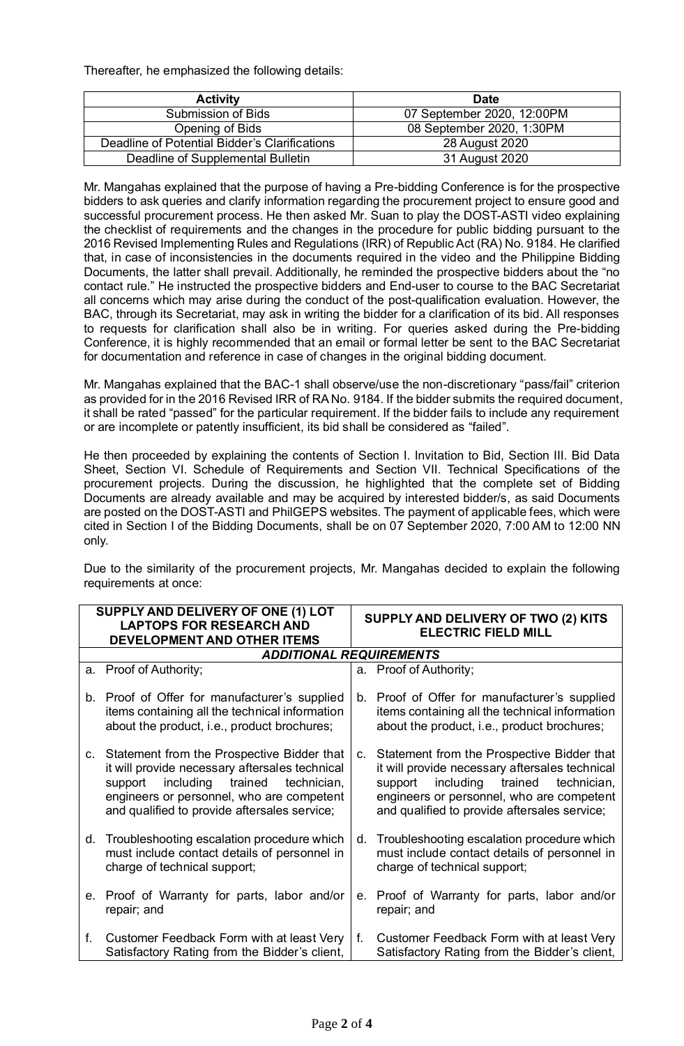Thereafter, he emphasized the following details:

| <b>Activity</b>                               | <b>Date</b>                |  |
|-----------------------------------------------|----------------------------|--|
| Submission of Bids                            | 07 September 2020, 12:00PM |  |
| Opening of Bids                               | 08 September 2020, 1:30PM  |  |
| Deadline of Potential Bidder's Clarifications | 28 August 2020             |  |
| Deadline of Supplemental Bulletin             | 31 August 2020             |  |

Mr. Mangahas explained that the purpose of having a Pre-bidding Conference is for the prospective bidders to ask queries and clarify information regarding the procurement project to ensure good and successful procurement process. He then asked Mr. Suan to play the DOST-ASTI video explaining the checklist of requirements and the changes in the procedure for public bidding pursuant to the 2016 Revised Implementing Rules and Regulations (IRR) of Republic Act (RA) No. 9184. He clarified that, in case of inconsistencies in the documents required in the video and the Philippine Bidding Documents, the latter shall prevail. Additionally, he reminded the prospective bidders about the "no contact rule." He instructed the prospective bidders and End-user to course to the BAC Secretariat all concerns which may arise during the conduct of the post-qualification evaluation. However, the BAC, through its Secretariat, may ask in writing the bidder for a clarification of its bid. All responses to requests for clarification shall also be in writing. For queries asked during the Pre-bidding Conference, it is highly recommended that an email or formal letter be sent to the BAC Secretariat for documentation and reference in case of changes in the original bidding document.

Mr. Mangahas explained that the BAC-1 shall observe/use the non-discretionary "pass/fail" criterion as provided for in the 2016 Revised IRR of RA No. 9184. If the bidder submits the required document, it shall be rated "passed" for the particular requirement. If the bidder fails to include any requirement or are incomplete or patently insufficient, its bid shall be considered as "failed".

He then proceeded by explaining the contents of Section I. Invitation to Bid, Section III. Bid Data Sheet, Section VI. Schedule of Requirements and Section VII. Technical Specifications of the procurement projects. During the discussion, he highlighted that the complete set of Bidding Documents are already available and may be acquired by interested bidder/s, as said Documents are posted on the DOST-ASTI and PhilGEPS websites. The payment of applicable fees, which were cited in Section I of the Bidding Documents, shall be on 07 September 2020, 7:00 AM to 12:00 NN only.

Due to the similarity of the procurement projects, Mr. Mangahas decided to explain the following requirements at once:

| SUPPLY AND DELIVERY OF ONE (1) LOT<br><b>LAPTOPS FOR RESEARCH AND</b><br><b>DEVELOPMENT AND OTHER ITEMS</b> |                                                                                                                                                                                                                                             | SUPPLY AND DELIVERY OF TWO (2) KITS<br><b>ELECTRIC FIELD MILL</b> |                                                                                                                                                                                                                                          |
|-------------------------------------------------------------------------------------------------------------|---------------------------------------------------------------------------------------------------------------------------------------------------------------------------------------------------------------------------------------------|-------------------------------------------------------------------|------------------------------------------------------------------------------------------------------------------------------------------------------------------------------------------------------------------------------------------|
|                                                                                                             | <b>ADDITIONAL REQUIREMENTS</b>                                                                                                                                                                                                              |                                                                   |                                                                                                                                                                                                                                          |
|                                                                                                             | a. Proof of Authority;                                                                                                                                                                                                                      |                                                                   | a. Proof of Authority;                                                                                                                                                                                                                   |
|                                                                                                             | b. Proof of Offer for manufacturer's supplied<br>items containing all the technical information<br>about the product, i.e., product brochures;                                                                                              |                                                                   | b. Proof of Offer for manufacturer's supplied<br>items containing all the technical information<br>about the product, i.e., product brochures;                                                                                           |
|                                                                                                             | c. Statement from the Prospective Bidder that<br>it will provide necessary aftersales technical<br>including trained<br>technician,<br>support<br>engineers or personnel, who are competent<br>and qualified to provide aftersales service; | C <sub>1</sub>                                                    | Statement from the Prospective Bidder that<br>it will provide necessary aftersales technical<br>including trained<br>technician,<br>support<br>engineers or personnel, who are competent<br>and qualified to provide aftersales service; |
| d.                                                                                                          | Troubleshooting escalation procedure which<br>must include contact details of personnel in<br>charge of technical support;                                                                                                                  | d.                                                                | Troubleshooting escalation procedure which<br>must include contact details of personnel in<br>charge of technical support;                                                                                                               |
|                                                                                                             | e. Proof of Warranty for parts, labor and/or<br>repair; and                                                                                                                                                                                 | $e_{\cdot}$                                                       | Proof of Warranty for parts, labor and/or<br>repair; and                                                                                                                                                                                 |
| f.                                                                                                          | Customer Feedback Form with at least Very<br>Satisfactory Rating from the Bidder's client,                                                                                                                                                  | f.                                                                | Customer Feedback Form with at least Very<br>Satisfactory Rating from the Bidder's client,                                                                                                                                               |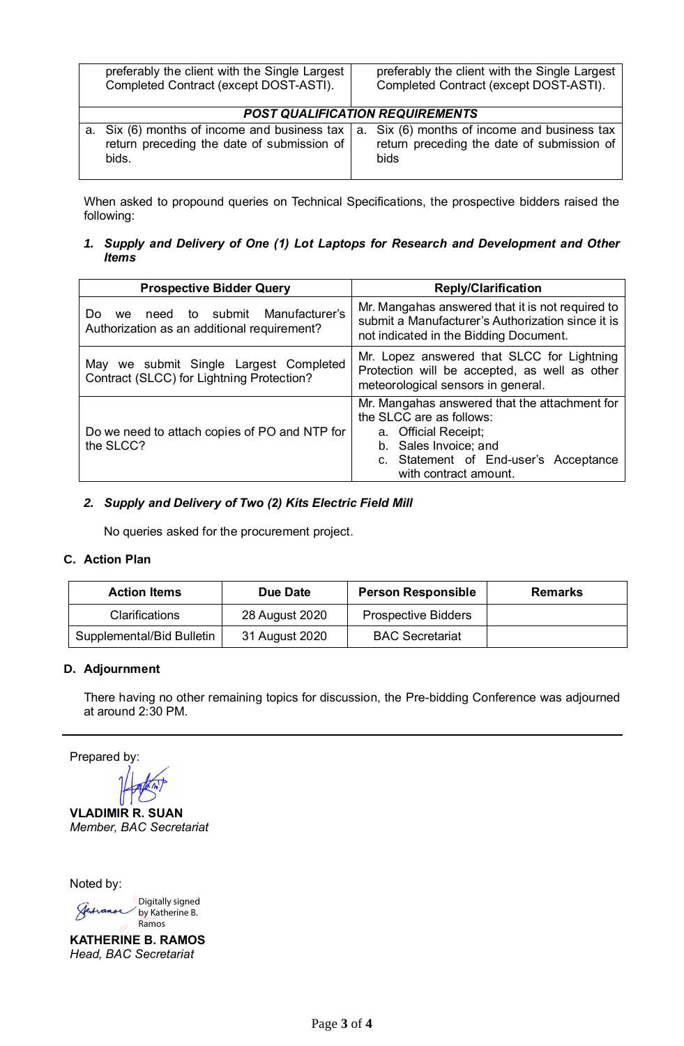| preferably the client with the Single Largest<br>Completed Contract (except DOST-ASTI).                     |  | preferably the client with the Single Largest<br>Completed Contract (except DOST-ASTI).            |  |
|-------------------------------------------------------------------------------------------------------------|--|----------------------------------------------------------------------------------------------------|--|
| <b>POST QUALIFICATION REQUIREMENTS</b>                                                                      |  |                                                                                                    |  |
| a. Six (6) months of income and business tax $\vert$<br>return preceding the date of submission of<br>bids. |  | a. Six (6) months of income and business tax<br>return preceding the date of submission of<br>bids |  |

When asked to propound queries on Technical Specifications, the prospective bidders raised the following:

# *1. Supply and Delivery of One (1) Lot Laptops for Research and Development and Other Items*

| <b>Prospective Bidder Query</b>                                                           | <b>Reply/Clarification</b>                                                                                                                                                                   |  |  |
|-------------------------------------------------------------------------------------------|----------------------------------------------------------------------------------------------------------------------------------------------------------------------------------------------|--|--|
| need to submit Manufacturer's<br>Do<br>we.<br>Authorization as an additional requirement? | Mr. Mangahas answered that it is not required to<br>submit a Manufacturer's Authorization since it is<br>not indicated in the Bidding Document.                                              |  |  |
| May we submit Single Largest Completed<br>Contract (SLCC) for Lightning Protection?       | Mr. Lopez answered that SLCC for Lightning<br>Protection will be accepted, as well as other<br>meteorological sensors in general.                                                            |  |  |
| Do we need to attach copies of PO and NTP for<br>the SLCC?                                | Mr. Mangahas answered that the attachment for<br>the SLCC are as follows:<br>a. Official Receipt;<br>b. Sales Invoice; and<br>c. Statement of End-user's Acceptance<br>with contract amount. |  |  |

# *2. Supply and Delivery of Two (2) Kits Electric Field Mill*

No queries asked for the procurement project.

# **C. Action Plan**

 $\overline{1}$ 

| <b>Action Items</b>       | Due Date       | <b>Person Responsible</b>  | <b>Remarks</b> |
|---------------------------|----------------|----------------------------|----------------|
| <b>Clarifications</b>     | 28 August 2020 | <b>Prospective Bidders</b> |                |
| Supplemental/Bid Bulletin | 31 August 2020 | <b>BAC Secretariat</b>     |                |

#### **D. Adjournment**

There having no other remaining topics for discussion, the Pre-bidding Conference was adjourned at around 2:30 PM.

Prepared by:

**VLADIMIR R. SUAN** *Member, BAC Secretariat*

Noted by:

Digitally signed Jerranos by Katherine B. Ramos

**KATHERINE B. RAMOS** *Head, BAC Secretariat*